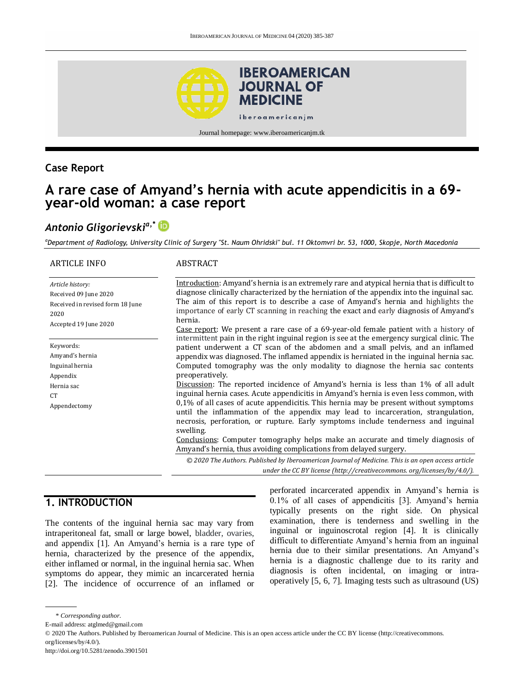

**Case Report**

## **A rare case of Amyand's hernia with acute appendicitis in a 69 year-old woman: a case report**

# *Antonio Gligorievskia,\**

*<sup>a</sup>Department of Radiology, University Clinic of Surgery "St. Naum Ohridski" bul. 11 Oktomvri br. 53, 1000, Skopje, North Macedonia*

| <b>ARTICLE INFO</b>                                                                                            | ABSTRACT                                                                                                                                                                                                                                                                                                                                                                                                                                                                                                                         |
|----------------------------------------------------------------------------------------------------------------|----------------------------------------------------------------------------------------------------------------------------------------------------------------------------------------------------------------------------------------------------------------------------------------------------------------------------------------------------------------------------------------------------------------------------------------------------------------------------------------------------------------------------------|
| Article history:<br>Received 09 June 2020<br>Received in revised form 18 June<br>2020<br>Accepted 19 June 2020 | Introduction: Amyand's hernia is an extremely rare and atypical hernia that is difficult to<br>diagnose clinically characterized by the herniation of the appendix into the inguinal sac.<br>The aim of this report is to describe a case of Amyand's hernia and highlights the<br>importance of early CT scanning in reaching the exact and early diagnosis of Amyand's<br>hernia.<br>Case report: We present a rare case of a 69-year-old female patient with a history of                                                     |
| Keywords:<br>Amyand's hernia<br>Inguinal hernia<br>Appendix<br>Hernia sac                                      | intermittent pain in the right inguinal region is see at the emergency surgical clinic. The<br>patient underwent a CT scan of the abdomen and a small pelvis, and an inflamed<br>appendix was diagnosed. The inflamed appendix is herniated in the inguinal hernia sac.<br>Computed tomography was the only modality to diagnose the hernia sac contents<br>preoperatively.<br>Discussion: The reported incidence of Amyand's hernia is less than 1% of all adult                                                                |
| CT <sup>-</sup><br>Appendectomy                                                                                | inguinal hernia cases. Acute appendicitis in Amyand's hernia is even less common, with<br>$0.1\%$ of all cases of acute appendicitis. This hernia may be present without symptoms<br>until the inflammation of the appendix may lead to incarceration, strangulation,<br>necrosis, perforation, or rupture. Early symptoms include tenderness and inguinal<br>swelling.<br>Conclusions: Computer tomography helps make an accurate and timely diagnosis of<br>Amyand's hernia, thus avoiding complications from delayed surgery. |
|                                                                                                                | © 2020 The Authors. Published by Iberoamerican Journal of Medicine. This is an open access article<br>under the CC BY license (http://creativecommons. org/licenses/by/4.0/).                                                                                                                                                                                                                                                                                                                                                    |

## **1. INTRODUCTION**

The contents of the inguinal hernia sac may vary from intraperitoneal fat, small or large bowel, bladder, ovaries, and appendix [1]. An Amyand's hernia is a rare type of hernia, characterized by the presence of the appendix, either inflamed or normal, in the inguinal hernia sac. When symptoms do appear, they mimic an incarcerated hernia [2]. The incidence of occurrence of an inflamed or

perforated incarcerated appendix in Amyand's hernia is 0.1% of all cases of appendicitis [3]. Amyand's hernia typically presents on the right side. On physical examination, there is tenderness and swelling in the inguinal or inguinoscrotal region [4]. It is clinically difficult to differentiate Amyand's hernia from an inguinal hernia due to their similar presentations. An Amyand's hernia is a diagnostic challenge due to its rarity and diagnosis is often incidental, on imaging or intraoperatively [5, 6, 7]. Imaging tests such as ultrasound (US)

<sup>\*</sup> *Corresponding author.*

E-mail address: atglmed@gmail.com

<sup>© 2020</sup> The Authors. Published by Iberoamerican Journal of Medicine. This is an open access article under the CC BY license (http://creativecommons. org/licenses/by/4.0/).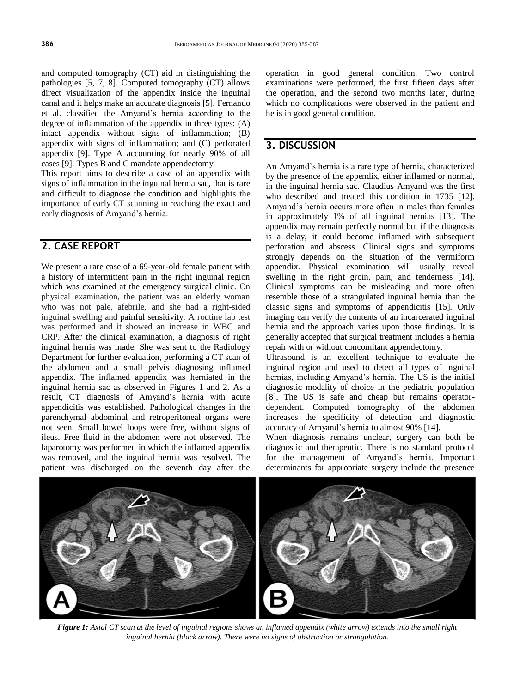and computed tomography (CT) aid in distinguishing the pathologies [5, 7, 8]. Computed tomography (CT) allows direct visualization of the appendix inside the inguinal canal and it helps make an accurate diagnosis [5]. Fernando et al. classified the Amyand's hernia according to the degree of inflammation of the appendix in three types: (A) intact appendix without signs of inflammation; (B) appendix with signs of inflammation; and (C) perforated appendix [9]. Type A accounting for nearly 90% of all cases [9]. Types B and C mandate appendectomy.

This report aims to describe a case of an appendix with signs of inflammation in the inguinal hernia sac, that is rare and difficult to diagnose the condition and highlights the importance of early CT scanning in reaching the exact and early diagnosis of Amyand's hernia.

### **2. CASE REPORT**

We present a rare case of a 69-year-old female patient with a history of intermittent pain in the right inguinal region which was examined at the emergency surgical clinic. On physical examination, the patient was an elderly woman who was not pale, afebrile, and she had a right-sided inguinal swelling and painful sensitivity. A routine lab test was performed and it showed an increase in WBC and CRP. After the clinical examination, a diagnosis of right inguinal hernia was made. She was sent to the Radiology Department for further evaluation, performing a CT scan of the abdomen and a small pelvis diagnosing inflamed appendix. The inflamed appendix was herniated in the inguinal hernia sac as observed in Figures 1 and 2. As a result, CT diagnosis of Amyand's hernia with acute appendicitis was established. Pathological changes in the parenchymal abdominal and retroperitoneal organs were not seen. Small bowel loops were free, without signs of ileus. Free fluid in the abdomen were not observed. The laparotomy was performed in which the inflamed appendix was removed, and the inguinal hernia was resolved. The patient was discharged on the seventh day after the

operation in good general condition. Two control examinations were performed, the first fifteen days after the operation, and the second two months later, during which no complications were observed in the patient and he is in good general condition.

## **3. DISCUSSION**

An Amyand's hernia is a rare type of hernia, characterized by the presence of the appendix, either inflamed or normal, in the inguinal hernia sac. Claudius Amyand was the first who described and treated this condition in 1735 [12]. Amyand's hernia occurs more often in males than females in approximately 1% of all inguinal hernias [13]. The appendix may remain perfectly normal but if the diagnosis is a delay, it could become inflamed with subsequent perforation and abscess. Clinical signs and symptoms strongly depends on the situation of the vermiform appendix. Physical examination will usually reveal swelling in the right groin, pain, and tenderness [14]. Clinical symptoms can be misleading and more often resemble those of a strangulated inguinal hernia than the classic signs and symptoms of appendicitis [15]. Only imaging can verify the contents of an incarcerated inguinal hernia and the approach varies upon those findings. It is generally accepted that surgical treatment includes a hernia repair with or without concomitant appendectomy.

Ultrasound is an excellent technique to evaluate the inguinal region and used to detect all types of inguinal hernias, including Amyand's hernia. The US is the initial diagnostic modality of choice in the pediatric population [8]. The US is safe and cheap but remains operatordependent. Computed tomography of the abdomen increases the specificity of detection and diagnostic accuracy of Amyand's hernia to almost 90% [14].

When diagnosis remains unclear, surgery can both be diagnostic and therapeutic. There is no standard protocol for the management of Amyand's hernia. Important determinants for appropriate surgery include the presence



*Figure 1: Axial CT scan at the level of inguinal regions shows an inflamed appendix (white arrow) extends into the small right inguinal hernia (black arrow). There were no signs of obstruction or strangulation.*